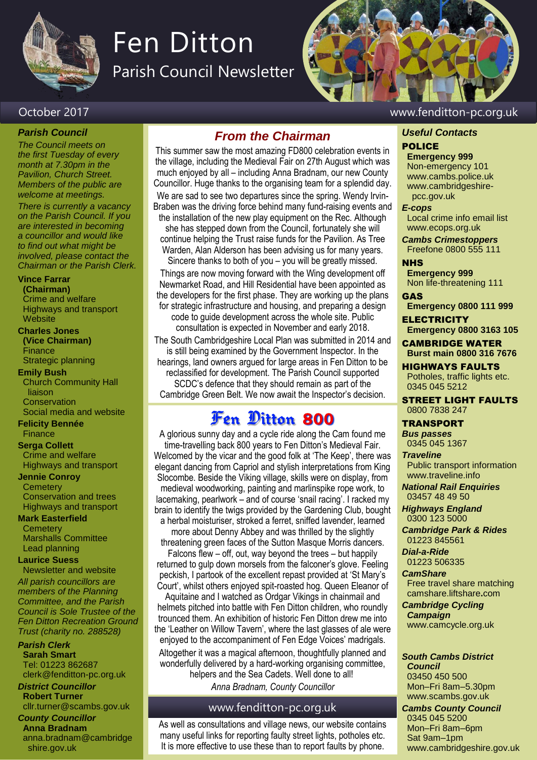

# Fen Ditton

Parish Council Newsletter



## October 2017 www.fenditton-pc.org.uk

#### *Parish Council*

*The Council meets on the first Tuesday of every month at 7.30pm in the Pavilion, Church Street. Members of the public are welcome at meetings. There is currently a vacancy on the Parish Council. If you are interested in becoming a councillor and would like to find out what might be involved, please contact the Chairman or the Parish Clerk.*

#### **Vince Farrar**

**(Chairman)** Crime and welfare Highways and transport **Website** 

## **Charles Jones**

**(Vice Chairman) Finance** Strategic planning

#### **Emily Bush**

Church Community Hall liaison **Conservation** Social media and website

#### **Felicity Bennée Finance**

**Serga Collett** Crime and welfare Highways and transport

#### **Jennie Conroy**

**Cemetery** Conservation and trees Highways and transport

#### **Mark Easterfield**

**Cemetery** Marshalls Committee Lead planning

#### **Laurice Suess**

Newsletter and website *All parish councillors are members of the Planning Committee, and the Parish Council is Sole Trustee of the Fen Ditton Recreation Ground Trust (charity no. 288528)*

#### *Parish Clerk*

**Sarah Smart** Tel: 01223 862687 clerk@fenditton-pc.org.uk

#### *District Councillor* **Robert Turner** cllr.turner@scambs.gov.uk

*County Councillor* **Anna Bradnam**

anna.bradnam@cambridge shire.gov.uk

## *From the Chairman*

This summer saw the most amazing FD800 celebration events in the village, including the Medieval Fair on 27th August which was much enjoyed by all – including Anna Bradnam, our new County Councillor. Huge thanks to the organising team for a splendid day. We are sad to see two departures since the spring. Wendy Irvin-Braben was the driving force behind many fund-raising events and

the installation of the new play equipment on the Rec. Although she has stepped down from the Council, fortunately she will continue helping the Trust raise funds for the Pavilion. As Tree Warden, Alan Alderson has been advising us for many years. Sincere thanks to both of you – you will be greatly missed.

Things are now moving forward with the Wing development off Newmarket Road, and Hill Residential have been appointed as the developers for the first phase. They are working up the plans for strategic infrastructure and housing, and preparing a design code to guide development across the whole site. Public consultation is expected in November and early 2018.

The South Cambridgeshire Local Plan was submitted in 2014 and is still being examined by the Government Inspector. In the hearings, land owners argued for large areas in Fen Ditton to be reclassified for development. The Parish Council supported SCDC's defence that they should remain as part of the

Cambridge Green Belt. We now await the Inspector's decision.

## **Fen Ditton** 800

A glorious sunny day and a cycle ride along the Cam found me time-travelling back 800 years to Fen Ditton's Medieval Fair. Welcomed by the vicar and the good folk at 'The Keep', there was elegant dancing from Capriol and stylish interpretations from King Slocombe. Beside the Viking village, skills were on display, from medieval woodworking, painting and marlinspike rope work, to lacemaking, pearlwork – and of course 'snail racing'. I racked my brain to identify the twigs provided by the Gardening Club, bought a herbal moisturiser, stroked a ferret, sniffed lavender, learned

more about Denny Abbey and was thrilled by the slightly threatening green faces of the Sutton Masque Morris dancers.

Falcons flew – off, out, way beyond the trees – but happily returned to gulp down morsels from the falconer's glove. Feeling peckish, I partook of the excellent repast provided at 'St Mary's Court', whilst others enjoyed spit-roasted hog. Queen Eleanor of

Aquitaine and I watched as Ordgar Vikings in chainmail and helmets pitched into battle with Fen Ditton children, who roundly trounced them. An exhibition of historic Fen Ditton drew me into the 'Leather on Willow Tavern', where the last glasses of ale were enjoyed to the accompaniment of Fen Edge Voices' madrigals. Altogether it was a magical afternoon, thoughtfully planned and wonderfully delivered by a hard-working organising committee, helpers and the Sea Cadets. Well done to all! *Anna Bradnam, County Councillor*

### www.fenditton-pc.org.uk

As well as consultations and village news, our website contains many useful links for reporting faulty street lights, potholes etc. It is more effective to use these than to report faults by phone.

## *Useful Contacts*

## POLICE

**Emergency 999** Non-emergency 101 www.cambs.police.uk www.cambridgeshire pcc.gov.uk

#### *E-cops*

Local crime info email list www.ecops.org.uk

*Cambs Crimestoppers* Freefone 0800 555 111

#### **NHS**

**Emergency 999** Non life-threatening 111

GAS

**Emergency 0800 111 999**

**ELECTRICITY Emergency 0800 3163 105**

CAMBRIDGE WATER **Burst main 0800 316 7676**

HIGHWAYS FAULTS Potholes, traffic lights etc. 0345 045 5212

#### STREET LIGHT FAULTS 0800 7838 247

#### TRANSPORT

*Bus passes* 0345 045 1367

*Traveline* Public transport information www.traveline.info

*National Rail Enquiries* 03457 48 49 50

*Highways England* 0300 123 5000

*Cambridge Park & Rides* 01223 845561

*Dial-a-Ride*

01223 506335 *CamShare*

Free travel share matching camshare.liftshare**.**com

*Cambridge Cycling Campaign* www.camcycle.org.uk

*South Cambs District Council*

03450 450 500 Mon–Fri 8am–5.30pm www.scambs.gov.uk

*Cambs County Council* 0345 045 5200 Mon–Fri 8am–6pm Sat 9am–1pm www.cambridgeshire.gov.uk